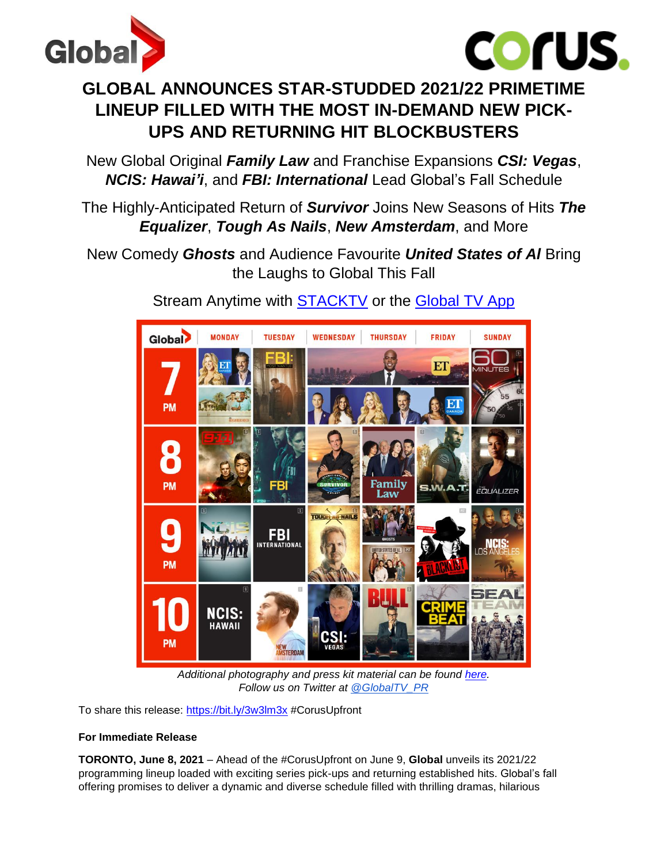



# **GLOBAL ANNOUNCES STAR-STUDDED 2021/22 PRIMETIME LINEUP FILLED WITH THE MOST IN-DEMAND NEW PICK-UPS AND RETURNING HIT BLOCKBUSTERS**

New Global Original *Family Law* and Franchise Expansions *CSI: Vegas*, *NCIS: Hawai'i*, and *FBI: International* Lead Global's Fall Schedule

### The Highly-Anticipated Return of *Survivor* Joins New Seasons of Hits *The Equalizer*, *Tough As Nails*, *New Amsterdam*, and More

New Comedy *Ghosts* and Audience Favourite *United States of Al* Bring the Laughs to Global This Fall



Stream Anytime with [STACKTV](https://www.primevideo.com/ref=dvm_pds_chn_ca_dc_c_g%7Cm_1yv8y2E9c_c353290815589/132-0311344-7053256?_encoding=UTF8&benefitID=tvfavouritesca&benefitId=tvfavouritesca&contentId=tvfavouritesca&contentType=subscription) or the [Global TV App](https://watch.globaltv.com/)

*Additional photography and press kit material can be found [here.](https://www.dropbox.com/sh/gsewja5s0ozzzro/AABlv7RPHqy3AB0HsZB-5rFEa?dl=0) Follow us on Twitter at [@GlobalTV\\_PR](http://secure-web.cisco.com/1H8Be9W7NoW3zFaC_h0oI53pBH1hfzlsM3OnuWAnLfHHLEXwW43aEOoPSh9QGPgWHqWq5lGDxyp3YjSAHJGzbxCeqVpbGHUIgUNO2QsDBk_5kklXYEy5Lsg01xTw1qLT2wNgF_fFVodw4vOzmWJL0n696roQAJI1n6QX7moOPOuYhVu5h3LO21HhAmvRx1rDL9zWDKpIjb-SeU0tF8-6UplzirsiBD4DRQb3eRlztAtCw2ScbrXzyVfsP0O8auEqd2u5z7alJkxpxL8bFJcxJoYcGmkWCoMSpNjW4LNJ8Abg/http%3A%2F%2Fwww.twitter.com%2Fglobaltv_pr)*

To share this release: <https://bit.ly/3w3lm3x> #CorusUpfront

### **For Immediate Release**

**TORONTO, June 8, 2021** – Ahead of the #CorusUpfront on June 9, **Global** unveils its 2021/22 programming lineup loaded with exciting series pick-ups and returning established hits. Global's fall offering promises to deliver a dynamic and diverse schedule filled with thrilling dramas, hilarious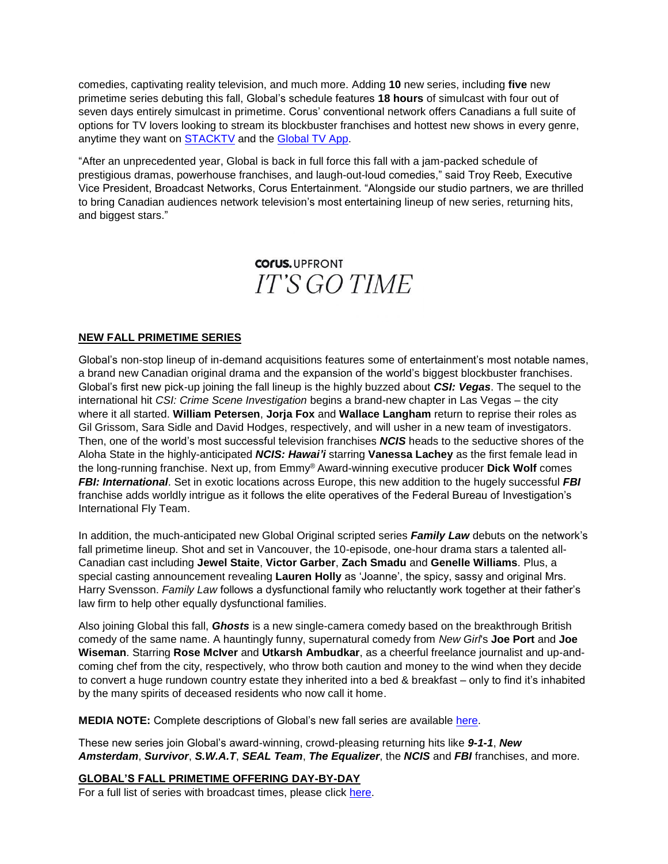comedies, captivating reality television, and much more. Adding **10** new series, including **five** new primetime series debuting this fall, Global's schedule features **18 hours** of simulcast with four out of seven days entirely simulcast in primetime. Corus' conventional network offers Canadians a full suite of options for TV lovers looking to stream its blockbuster franchises and hottest new shows in every genre, anytime they want on [STACKTV](https://www.primevideo.com/ref=dvm_pds_chn_ca_dc_c_g%7Cm_1yv8y2E9c_c353290815589/132-0311344-7053256?_encoding=UTF8&benefitID=tvfavouritesca&benefitId=tvfavouritesca&contentId=tvfavouritesca&contentType=subscription) and the [Global TV App.](https://watch.globaltv.com/)

"After an unprecedented year, Global is back in full force this fall with a jam-packed schedule of prestigious dramas, powerhouse franchises, and laugh-out-loud comedies," said Troy Reeb, Executive Vice President, Broadcast Networks, Corus Entertainment. "Alongside our studio partners, we are thrilled to bring Canadian audiences network television's most entertaining lineup of new series, returning hits, and biggest stars."

## **COFUS. UPFRONT IT'S GO TIME**

#### **NEW FALL PRIMETIME SERIES**

Global's non-stop lineup of in-demand acquisitions features some of entertainment's most notable names, a brand new Canadian original drama and the expansion of the world's biggest blockbuster franchises. Global's first new pick-up joining the fall lineup is the highly buzzed about *CSI: Vegas*. The sequel to the international hit *CSI: Crime Scene Investigation* begins a brand-new chapter in Las Vegas – the city where it all started. **William Petersen**, **Jorja Fox** and **Wallace Langham** return to reprise their roles as Gil Grissom, Sara Sidle and David Hodges, respectively, and will usher in a new team of investigators. Then, one of the world's most successful television franchises *NCIS* heads to the seductive shores of the Aloha State in the highly-anticipated *NCIS: Hawai'i* starring **Vanessa Lachey** as the first female lead in the long-running franchise. Next up, from Emmy® Award-winning executive producer **Dick Wolf** comes *FBI: International*. Set in exotic locations across Europe, this new addition to the hugely successful *FBI* franchise adds worldly intrigue as it follows the elite operatives of the Federal Bureau of Investigation's International Fly Team.

In addition, the much-anticipated new Global Original scripted series *Family Law* debuts on the network's fall primetime lineup. Shot and set in Vancouver, the 10-episode, one-hour drama stars a talented all-Canadian cast including **Jewel Staite**, **Victor Garber**, **Zach Smadu** and **Genelle Williams**. Plus, a special casting announcement revealing **Lauren Holly** as 'Joanne', the spicy, sassy and original Mrs. Harry Svensson. *Family Law* follows a dysfunctional family who reluctantly work together at their father's law firm to help other equally dysfunctional families.

Also joining Global this fall, *Ghosts* is a new single-camera comedy based on the breakthrough British comedy of the same name. A hauntingly funny, supernatural comedy from *New Girl*'s **Joe Port** and **Joe Wiseman**. Starring **Rose McIver** and **Utkarsh Ambudkar**, as a cheerful freelance journalist and up-andcoming chef from the city, respectively, who throw both caution and money to the wind when they decide to convert a huge rundown country estate they inherited into a bed & breakfast – only to find it's inhabited by the many spirits of deceased residents who now call it home.

**MEDIA NOTE:** Complete descriptions of Global's new fall series are available [here.](https://www.dropbox.com/sh/gsewja5s0ozzzro/AABlv7RPHqy3AB0HsZB-5rFEa?dl=0)

These new series join Global's award-winning, crowd-pleasing returning hits like *9-1-1*, *New Amsterdam*, *Survivor*, *S.W.A.T*, *SEAL Team*, *The Equalizer*, the *NCIS* and *FBI* franchises, and more.

**GLOBAL'S FALL PRIMETIME OFFERING DAY-BY-DAY**

For a full list of series with broadcast times, please click [here.](https://www.dropbox.com/sh/gsewja5s0ozzzro/AABlv7RPHqy3AB0HsZB-5rFEa?dl=0)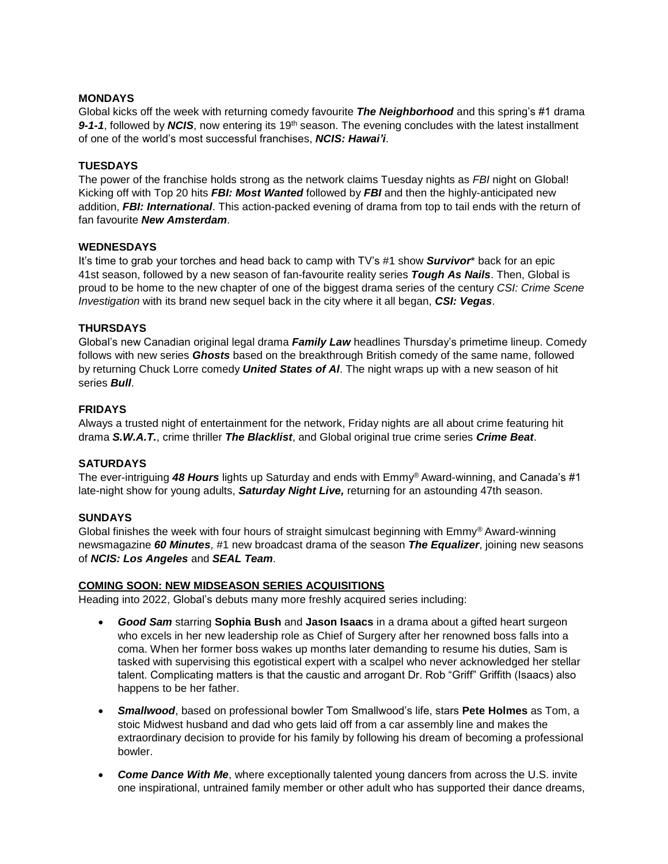#### **MONDAYS**

Global kicks off the week with returning comedy favourite *The Neighborhood* and this spring's #1 drama 9-1-1, followed by *NCIS*, now entering its 19<sup>th</sup> season. The evening concludes with the latest installment of one of the world's most successful franchises, *NCIS: Hawai'i*.

#### **TUESDAYS**

The power of the franchise holds strong as the network claims Tuesday nights as *FBI* night on Global! Kicking off with Top 20 hits *FBI: Most Wanted* followed by *FBI* and then the highly-anticipated new addition, *FBI: International*. This action-packed evening of drama from top to tail ends with the return of fan favourite *New Amsterdam*.

#### **WEDNESDAYS**

It's time to grab your torches and head back to camp with TV's #1 show *Survivor*\* back for an epic 41st season, followed by a new season of fan-favourite reality series *Tough As Nails*. Then, Global is proud to be home to the new chapter of one of the biggest drama series of the century *CSI: Crime Scene Investigation* with its brand new sequel back in the city where it all began, *CSI: Vegas*.

#### **THURSDAYS**

Global's new Canadian original legal drama *Family Law* headlines Thursday's primetime lineup. Comedy follows with new series *Ghosts* based on the breakthrough British comedy of the same name, followed by returning Chuck Lorre comedy *United States of Al*. The night wraps up with a new season of hit series *Bull*.

#### **FRIDAYS**

Always a trusted night of entertainment for the network, Friday nights are all about crime featuring hit drama *S.W.A.T.*, crime thriller *The Blacklist*, and Global original true crime series *Crime Beat*.

#### **SATURDAYS**

The ever-intriguing *48 Hours* lights up Saturday and ends with Emmy® Award-winning, and Canada's #1 late-night show for young adults, *Saturday Night Live,* returning for an astounding 47th season.

#### **SUNDAYS**

Global finishes the week with four hours of straight simulcast beginning with  $Emm<sup>®</sup> Award-winning$ newsmagazine *60 Minutes,* #1 new broadcast drama of the season *The Equalizer*, joining new seasons of *NCIS: Los Angeles* and *SEAL Team*.

#### **COMING SOON: NEW MIDSEASON SERIES ACQUISITIONS**

Heading into 2022, Global's debuts many more freshly acquired series including:

- *Good Sam* starring **Sophia Bush** and **Jason Isaacs** in a drama about a gifted heart surgeon who excels in her new leadership role as Chief of Surgery after her renowned boss falls into a coma. When her former boss wakes up months later demanding to resume his duties, Sam is tasked with supervising this egotistical expert with a scalpel who never acknowledged her stellar talent. Complicating matters is that the caustic and arrogant Dr. Rob "Griff" Griffith (Isaacs) also happens to be her father.
- *Smallwood*, based on professional bowler Tom Smallwood's life, stars **Pete Holmes** as Tom, a stoic Midwest husband and dad who gets laid off from a car assembly line and makes the extraordinary decision to provide for his family by following his dream of becoming a professional bowler.
- **Come Dance With Me**, where exceptionally talented young dancers from across the U.S. invite one inspirational, untrained family member or other adult who has supported their dance dreams,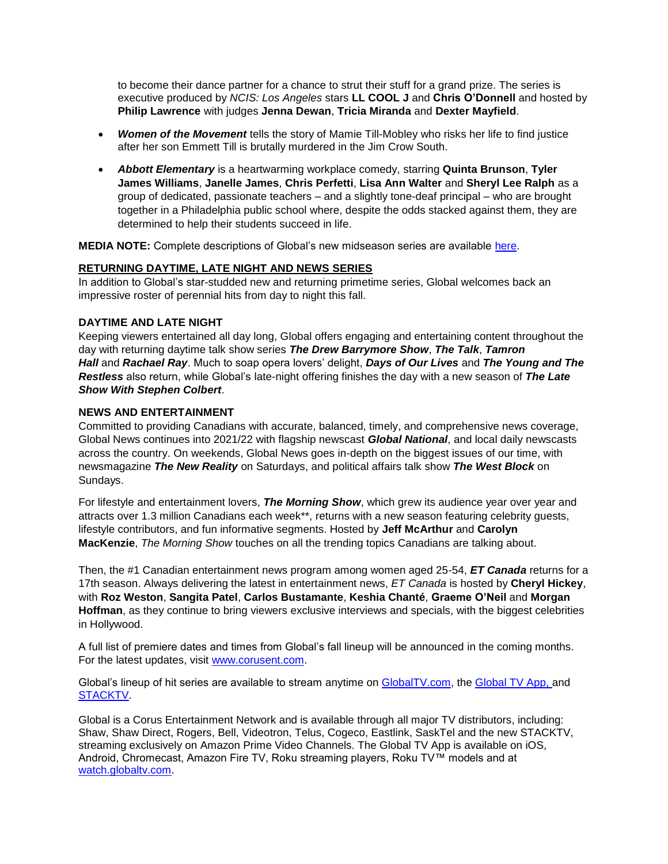to become their dance partner for a chance to strut their stuff for a grand prize. The series is executive produced by *NCIS: Los Angeles* stars **LL COOL J** and **Chris O'Donnell** and hosted by **Philip Lawrence** with judges **Jenna Dewan**, **Tricia Miranda** and **Dexter Mayfield**.

- *Women of the Movement* tells the story of Mamie Till-Mobley who risks her life to find justice after her son Emmett Till is brutally murdered in the Jim Crow South.
- *Abbott Elementary* is a heartwarming workplace comedy, starring **Quinta Brunson**, **Tyler James Williams**, **Janelle James**, **Chris Perfetti**, **Lisa Ann Walter** and **Sheryl Lee Ralph** as a group of dedicated, passionate teachers – and a slightly tone-deaf principal – who are brought together in a Philadelphia public school where, despite the odds stacked against them, they are determined to help their students succeed in life.

**MEDIA NOTE:** Complete descriptions of Global's new midseason series are available [here.](https://www.dropbox.com/sh/gsewja5s0ozzzro/AABlv7RPHqy3AB0HsZB-5rFEa?dl=0)

#### **RETURNING DAYTIME, LATE NIGHT AND NEWS SERIES**

In addition to Global's star-studded new and returning primetime series, Global welcomes back an impressive roster of perennial hits from day to night this fall.

#### **DAYTIME AND LATE NIGHT**

Keeping viewers entertained all day long, Global offers engaging and entertaining content throughout the day with returning daytime talk show series *The Drew Barrymore Show*, *The Talk*, *Tamron Hall* and *Rachael Ray*. Much to soap opera lovers' delight, *Days of Our Lives* and *The Young and The Restless* also return, while Global's late-night offering finishes the day with a new season of *The Late Show With Stephen Colbert*.

#### **NEWS AND ENTERTAINMENT**

Committed to providing Canadians with accurate, balanced, timely, and comprehensive news coverage, Global News continues into 2021/22 with flagship newscast *Global National*, and local daily newscasts across the country. On weekends, Global News goes in-depth on the biggest issues of our time, with newsmagazine *The New Reality* on Saturdays, and political affairs talk show *The West Block* on Sundays.

For lifestyle and entertainment lovers, *The Morning Show*, which grew its audience year over year and attracts over 1.3 million Canadians each week\*\*, returns with a new season featuring celebrity guests, lifestyle contributors, and fun informative segments. Hosted by **Jeff McArthur** and **Carolyn MacKenzie**, *The Morning Show* touches on all the trending topics Canadians are talking about.

Then, the #1 Canadian entertainment news program among women aged 25-54, *ET Canada* returns for a 17th season. Always delivering the latest in entertainment news, *ET Canada* is hosted by **Cheryl Hickey**, with **Roz Weston**, **Sangita Patel**, **Carlos Bustamante**, **Keshia Chanté**, **Graeme O'Neil** and **Morgan Hoffman**, as they continue to bring viewers exclusive interviews and specials, with the biggest celebrities in Hollywood.

A full list of premiere dates and times from Global's fall lineup will be announced in the coming months. For the latest updates, visit [www.corusent.com.](http://www.corusent.com/)

Global's lineup of hit series are available to stream anytime on [GlobalTV.com,](http://www.globaltv.com/) the [Global TV App,](https://www.globaltv.com/globaltvapp/) and **STACKTV** 

Global is a Corus Entertainment Network and is available through all major TV distributors, including: Shaw, Shaw Direct, Rogers, Bell, Videotron, Telus, Cogeco, Eastlink, SaskTel and the new STACKTV, streaming exclusively on Amazon Prime Video Channels. The Global TV App is available on iOS, Android, Chromecast, Amazon Fire TV, Roku streaming players, Roku TV™ models and a[t](https://watch.globaltv.com/) [watch.globaltv.com.](https://watch.globaltv.com/)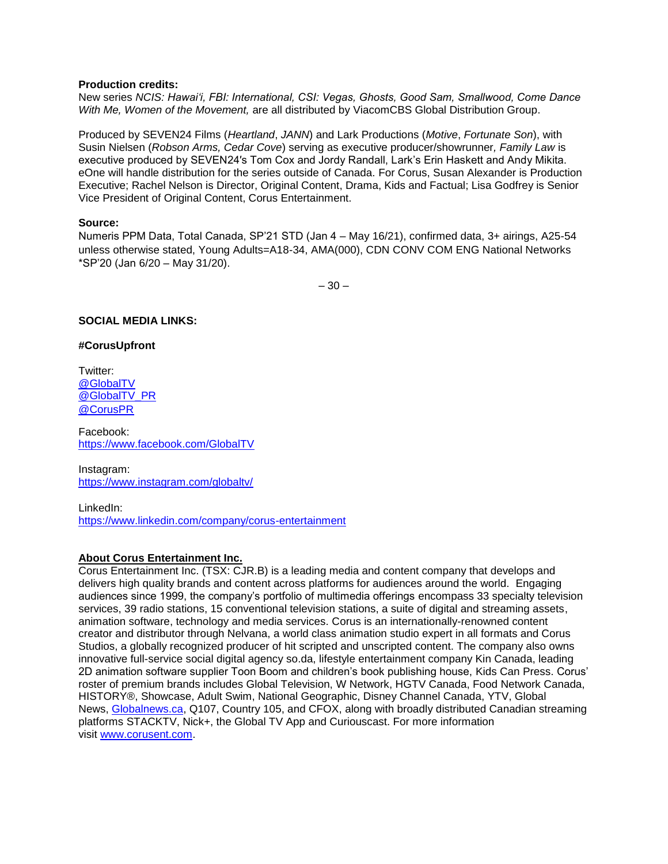#### **Production credits:**

New series *NCIS: Hawaiʻi, FBI: International, CSI: Vegas, Ghosts, Good Sam, Smallwood, Come Dance With Me, Women of the Movement,* are all distributed by ViacomCBS Global Distribution Group.

Produced by SEVEN24 Films (*Heartland*, *JANN*) and Lark Productions (*Motive*, *Fortunate Son*), with Susin Nielsen (*Robson Arms, Cedar Cove*) serving as executive producer/showrunner*, Family Law* is executive produced by SEVEN24′s Tom Cox and Jordy Randall, Lark's Erin Haskett and Andy Mikita. eOne will handle distribution for the series outside of Canada. For Corus, Susan Alexander is Production Executive; Rachel Nelson is Director, Original Content, Drama, Kids and Factual; Lisa Godfrey is Senior Vice President of Original Content, Corus Entertainment.

#### **Source:**

Numeris PPM Data, Total Canada, SP'21 STD (Jan 4 – May 16/21), confirmed data, 3+ airings, A25-54 unless otherwise stated, Young Adults=A18-34, AMA(000), CDN CONV COM ENG National Networks \*SP'20 (Jan 6/20 – May 31/20).

 $-30-$ 

#### **SOCIAL MEDIA LINKS:**

#### **#CorusUpfront**

Twitter: [@GlobalTV](https://twitter.com/GlobalTV?lang=en)  @GlobalTV PR [@CorusPR](https://twitter.com/CorusPR)

Facebook: [https://www.facebook.com/GlobalTV](https://www.facebook.com/GlobalTV/)

Instagram: <https://www.instagram.com/globaltv/>

LinkedIn: <https://www.linkedin.com/company/corus-entertainment>

#### **About Corus Entertainment Inc.**

Corus Entertainment Inc. (TSX: CJR.B) is a leading media and content company that develops and delivers high quality brands and content across platforms for audiences around the world. Engaging audiences since 1999, the company's portfolio of multimedia offerings encompass 33 specialty television services, 39 radio stations, 15 conventional television stations, a suite of digital and streaming assets, animation software, technology and media services. Corus is an internationally-renowned content creator and distributor through Nelvana, a world class animation studio expert in all formats and Corus Studios, a globally recognized producer of hit scripted and unscripted content. The company also owns innovative full-service social digital agency so.da, lifestyle entertainment company Kin Canada, leading 2D animation software supplier Toon Boom and children's book publishing house, Kids Can Press. Corus' roster of premium brands includes Global Television, W Network, HGTV Canada, Food Network Canada, HISTORY®, Showcase, Adult Swim, National Geographic, Disney Channel Canada, YTV, Global News, [Globalnews.ca,](http://globalnews.ca/) Q107, Country 105, and CFOX, along with broadly distributed Canadian streaming platforms STACKTV, Nick+, the Global TV App and Curiouscast. For more information visit [www.corusent.com.](http://www.corusent.com/)